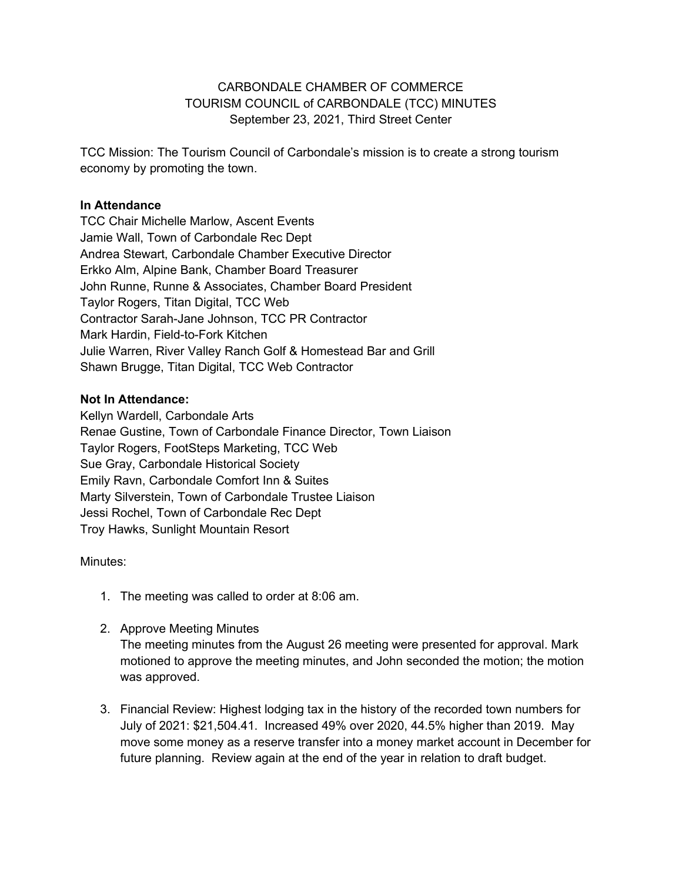### CARBONDALE CHAMBER OF COMMERCE TOURISM COUNCIL of CARBONDALE (TCC) MINUTES September 23, 2021, Third Street Center

TCC Mission: The Tourism Council of Carbondale's mission is to create a strong tourism economy by promoting the town.

### **In Attendance**

TCC Chair Michelle Marlow, Ascent Events Jamie Wall, Town of Carbondale Rec Dept Andrea Stewart, Carbondale Chamber Executive Director Erkko Alm, Alpine Bank, Chamber Board Treasurer John Runne, Runne & Associates, Chamber Board President Taylor Rogers, Titan Digital, TCC Web Contractor Sarah-Jane Johnson, TCC PR Contractor Mark Hardin, Field-to-Fork Kitchen Julie Warren, River Valley Ranch Golf & Homestead Bar and Grill Shawn Brugge, Titan Digital, TCC Web Contractor

### **Not In Attendance:**

Kellyn Wardell, Carbondale Arts Renae Gustine, Town of Carbondale Finance Director, Town Liaison Taylor Rogers, FootSteps Marketing, TCC Web Sue Gray, Carbondale Historical Society Emily Ravn, Carbondale Comfort Inn & Suites Marty Silverstein, Town of Carbondale Trustee Liaison Jessi Rochel, Town of Carbondale Rec Dept Troy Hawks, Sunlight Mountain Resort

#### Minutes:

- 1. The meeting was called to order at 8:06 am.
- 2. Approve Meeting Minutes

The meeting minutes from the August 26 meeting were presented for approval. Mark motioned to approve the meeting minutes, and John seconded the motion; the motion was approved.

3. Financial Review: Highest lodging tax in the history of the recorded town numbers for July of 2021: \$21,504.41. Increased 49% over 2020, 44.5% higher than 2019. May move some money as a reserve transfer into a money market account in December for future planning. Review again at the end of the year in relation to draft budget.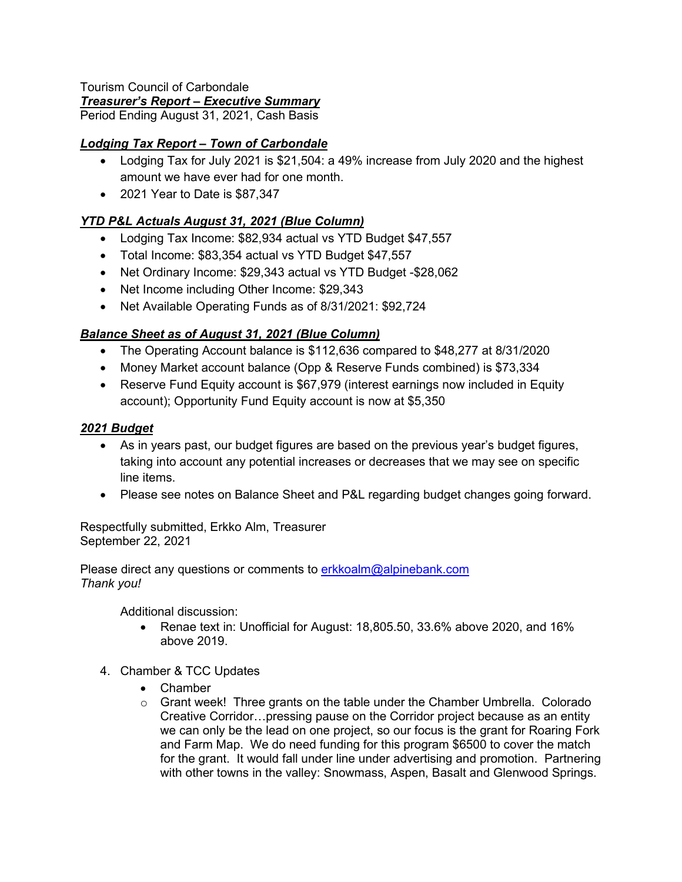#### Tourism Council of Carbondale *Treasurer's Report – Executive Summary*

Period Ending August 31, 2021, Cash Basis

# *Lodging Tax Report – Town of Carbondale*

- Lodging Tax for July 2021 is \$21,504: a 49% increase from July 2020 and the highest amount we have ever had for one month.
- 2021 Year to Date is \$87,347

## *YTD P&L Actuals August 31, 2021 (Blue Column)*

- Lodging Tax Income: \$82,934 actual vs YTD Budget \$47,557
- Total Income: \$83,354 actual vs YTD Budget \$47,557
- Net Ordinary Income: \$29,343 actual vs YTD Budget -\$28,062
- Net Income including Other Income: \$29,343
- Net Available Operating Funds as of 8/31/2021: \$92,724

## *Balance Sheet as of August 31, 2021 (Blue Column)*

- The Operating Account balance is \$112,636 compared to \$48,277 at 8/31/2020
- Money Market account balance (Opp & Reserve Funds combined) is \$73,334
- Reserve Fund Equity account is \$67,979 (interest earnings now included in Equity account); Opportunity Fund Equity account is now at \$5,350

## *2021 Budget*

- As in years past, our budget figures are based on the previous year's budget figures, taking into account any potential increases or decreases that we may see on specific line items.
- Please see notes on Balance Sheet and P&L regarding budget changes going forward.

Respectfully submitted, Erkko Alm, Treasurer September 22, 2021

Please direct any questions or comments to erkkoalm@alpinebank.com *Thank you!*

Additional discussion:

- Renae text in: Unofficial for August: 18,805.50, 33.6% above 2020, and 16% above 2019.
- 4. Chamber & TCC Updates
	- Chamber
	- $\circ$  Grant week! Three grants on the table under the Chamber Umbrella. Colorado Creative Corridor…pressing pause on the Corridor project because as an entity we can only be the lead on one project, so our focus is the grant for Roaring Fork and Farm Map. We do need funding for this program \$6500 to cover the match for the grant. It would fall under line under advertising and promotion. Partnering with other towns in the valley: Snowmass, Aspen, Basalt and Glenwood Springs.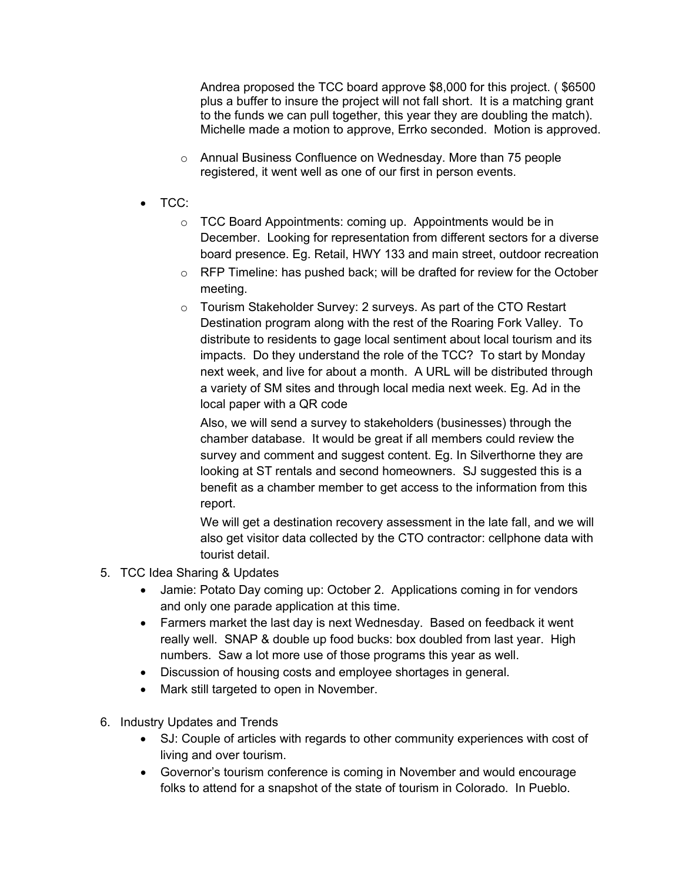Andrea proposed the TCC board approve \$8,000 for this project. ( \$6500 plus a buffer to insure the project will not fall short. It is a matching grant to the funds we can pull together, this year they are doubling the match). Michelle made a motion to approve, Errko seconded. Motion is approved.

- o Annual Business Confluence on Wednesday. More than 75 people registered, it went well as one of our first in person events.
- TCC:
	- o TCC Board Appointments: coming up. Appointments would be in December. Looking for representation from different sectors for a diverse board presence. Eg. Retail, HWY 133 and main street, outdoor recreation
	- $\circ$  RFP Timeline: has pushed back; will be drafted for review for the October meeting.
	- o Tourism Stakeholder Survey: 2 surveys. As part of the CTO Restart Destination program along with the rest of the Roaring Fork Valley. To distribute to residents to gage local sentiment about local tourism and its impacts. Do they understand the role of the TCC? To start by Monday next week, and live for about a month. A URL will be distributed through a variety of SM sites and through local media next week. Eg. Ad in the local paper with a QR code

Also, we will send a survey to stakeholders (businesses) through the chamber database. It would be great if all members could review the survey and comment and suggest content. Eg. In Silverthorne they are looking at ST rentals and second homeowners. SJ suggested this is a benefit as a chamber member to get access to the information from this report.

We will get a destination recovery assessment in the late fall, and we will also get visitor data collected by the CTO contractor: cellphone data with tourist detail.

- 5. TCC Idea Sharing & Updates
	- Jamie: Potato Day coming up: October 2. Applications coming in for vendors and only one parade application at this time.
	- Farmers market the last day is next Wednesday. Based on feedback it went really well. SNAP & double up food bucks: box doubled from last year. High numbers. Saw a lot more use of those programs this year as well.
	- Discussion of housing costs and employee shortages in general.
	- Mark still targeted to open in November.
- 6. Industry Updates and Trends
	- SJ: Couple of articles with regards to other community experiences with cost of living and over tourism.
	- Governor's tourism conference is coming in November and would encourage folks to attend for a snapshot of the state of tourism in Colorado. In Pueblo.